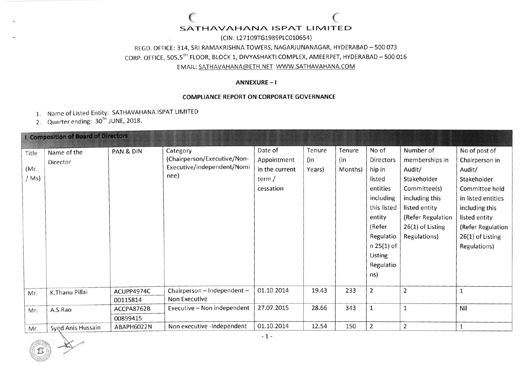### SATHAVAHANA ISPAT LIMITED

(CIN: L27109TG1989PLC010654)

REGD. OFFICE: 314, SRI RAMAKRISHNA TOWERS, NAGARJUNANAGAR, HYDERABAD - 500 073

CORP. OFFICE, 505,5TH FLOOR, BLOCK 1, DIVYASHAKTI COMPLEX, AMEERPET, HYDERABAD - 500 016

EMAIL: SATHAVAHANA@ETH.NET\_WWW.SATHAVAHANA.COM

### ANNEXURE-I

#### **COMPLIANCE REPORT ON CORPORATE GOVERNANCE**

- 1. Name of Listed Entity: SATHAVAHANA ISPAT LIMITED
- 2. Quarter ending: 30<sup>TH</sup> JUNE, 2018.

| I. Composition of Board of Directors |                   |            |                             |                |        |         |                |                    |                    |
|--------------------------------------|-------------------|------------|-----------------------------|----------------|--------|---------|----------------|--------------------|--------------------|
| Title                                | Name of the       | PAN & DIN  | Category                    | Date of        | Tenure | Tenure  | No of          | Number of          | No of post of      |
|                                      | Director          |            | (Chairperson/Executive/Non- | Appointment    | (in    | (in     | Directors      | memberships in     | Chairperson in     |
| (Mr)                                 |                   |            | Executive/independent/Nomi  | in the current | Years) | Months) | hip in         | Audit/             | Audit/             |
| /Ms)                                 |                   |            | něe)                        | term /         |        |         | listed         | Stakeholder        | Stakeholder        |
|                                      |                   |            |                             | cessation      |        |         | entities       | Committee(s)       | Committee held     |
|                                      |                   |            |                             |                |        |         | including      | including this     | in listed entities |
|                                      |                   |            |                             |                |        |         | this listed    | listed entity      | including this     |
|                                      |                   |            |                             |                |        |         | entity         | (Refer Regulation  | listed entity      |
|                                      |                   |            |                             |                |        |         | (Refer         | $26(1)$ of Listing | (Refer Regulation  |
|                                      |                   |            |                             |                |        |         | Regulatio      | Regulations)       | 26(1) of Listing   |
|                                      |                   |            |                             |                |        |         | n 25(1) of     |                    | Regulations)       |
|                                      |                   |            |                             |                |        |         | Listing        |                    |                    |
|                                      |                   |            |                             |                |        |         | Regulatio      |                    |                    |
|                                      |                   |            |                             |                |        |         | ns)            |                    |                    |
|                                      |                   |            |                             |                |        |         |                |                    |                    |
| Mr.                                  | K.Thanu Pillai    | ACUPP4974C | Chairperson - Independent - | 01.10.2014     | 19.43  | 233     | $\overline{2}$ | $\overline{2}$     |                    |
|                                      |                   | 00115814   | Non Executive               |                |        |         |                |                    |                    |
| Mr.                                  | A.S.Rao           | ACCPA8762B | Executive - Non independent | 27.07.2015     | 28.66  | 343     | $\mathbf{1}$   | $\mathbf{1}$       | Nil                |
|                                      |                   | 00899415   |                             |                |        |         |                |                    |                    |
| Mr.                                  | Syed Anis Hussain | ABAPH6022N | Non executive -Independent  | 01.10.2014     | 12.54  | 150     | $\overline{2}$ | $\overline{2}$     |                    |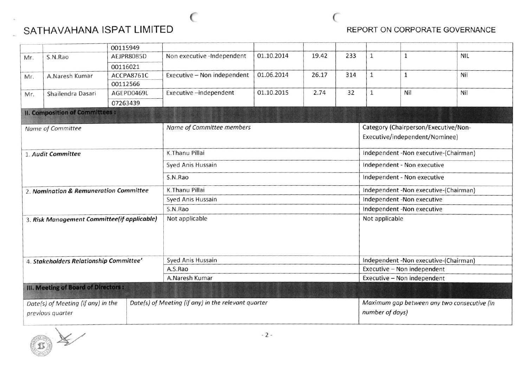



|                                             |                                       | 00115949   |                                                     |            |       |                             |                                             |       |            |  |
|---------------------------------------------|---------------------------------------|------------|-----------------------------------------------------|------------|-------|-----------------------------|---------------------------------------------|-------|------------|--|
| Mr.                                         | S.N.Rao                               | AEJPR8085D | Non executive -Independent                          | 01.10.2014 | 19.42 | 233                         | $\mathbf{1}$                                | 1     | <b>NIL</b> |  |
|                                             |                                       | 00116021   |                                                     |            |       |                             |                                             |       |            |  |
| Mr.                                         | A.Naresh Kumar                        | ACCPA8761C | Executive - Non independent                         | 01.06.2014 | 26.17 | 314                         | $\mathbf{1}$                                | $1\,$ | Nil        |  |
|                                             |                                       | 00112566   |                                                     |            |       |                             |                                             |       |            |  |
| Mr.                                         | Shailendra Dasari                     | AGEPD0469L | Executive-independent                               | 01.10.2015 | 2.74  | 32                          | $\mathbf{1}$                                | Nil   | Nil        |  |
|                                             |                                       | 07263439   |                                                     |            |       |                             |                                             |       |            |  |
|                                             | <b>II. Composition of Committees:</b> |            |                                                     |            |       |                             |                                             |       |            |  |
|                                             | Name of Committee                     |            | Name of Committee members                           |            |       |                             | Category (Chairperson/Executive/Non-        |       |            |  |
|                                             |                                       |            |                                                     |            |       |                             | Executive/independent/Nominee)              |       |            |  |
| 1. Audit Committee                          |                                       |            | K.Thanu Pillai                                      |            |       |                             | Independent -Non executive-(Chairman)       |       |            |  |
| 2. Nomination & Remuneration Committee      |                                       |            | Syed Anis Hussain                                   |            |       |                             | Independent - Non executive                 |       |            |  |
|                                             |                                       |            | S.N.Rao                                             |            |       |                             | Independent - Non executive                 |       |            |  |
|                                             |                                       |            | K.Thanu Pillai                                      |            |       |                             | Independent -Non executive-(Chairman)       |       |            |  |
|                                             |                                       |            | Syed Anis Hussain                                   |            |       |                             | Independent -Non executive                  |       |            |  |
|                                             |                                       |            | S.N.Rao                                             |            |       |                             | Independent -Non executive                  |       |            |  |
| 3. Risk Management Committee(if applicable) |                                       |            | Not applicable                                      |            |       |                             | Not applicable                              |       |            |  |
| 4. Stakeholders Relationship Committee'     |                                       |            | Syed Anis Hussain                                   |            |       |                             | Independent -Non executive-(Chairman)       |       |            |  |
|                                             |                                       |            | A.S.Rao                                             |            |       | Executive - Non independent |                                             |       |            |  |
|                                             |                                       |            | A.Naresh Kumar                                      |            |       |                             | Executive - Non independent                 |       |            |  |
|                                             | III. Meeting of Board of Directors :  |            |                                                     |            |       |                             |                                             |       |            |  |
| Date(s) of Meeting (if any) in the          |                                       |            | Date(s) of Meeting (if any) in the relevant quarter |            |       |                             | Maximum gap between any two consecutive (in |       |            |  |
| previous quarter                            |                                       |            |                                                     |            |       |                             | number of days)                             |       |            |  |

 $($ 

 $\left(\begin{matrix} 2 \\ 0 \end{matrix}\right)$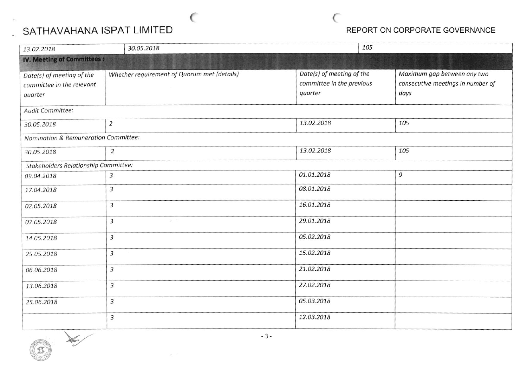# SATHAVAHANA ISPAT LIMITED

## REPORT ON CORPORATE GOVERNANCE

C

| 13.02.2018                                                        | 30.05.2018                                  | 105                                                               |                                                                          |
|-------------------------------------------------------------------|---------------------------------------------|-------------------------------------------------------------------|--------------------------------------------------------------------------|
| <b>IV. Meeting of Committees:</b>                                 |                                             |                                                                   |                                                                          |
| Date(s) of meeting of the<br>committee in the relevant<br>quarter | Whether requirement of Quorum met (details) | Date(s) of meeting of the<br>committee in the previous<br>quarter | Maximum gap between any two<br>consecutive meetings in number of<br>days |
| Audit Committee:                                                  |                                             |                                                                   |                                                                          |
| 30.05.2018                                                        | $\overline{2}$                              | 13.02.2018                                                        | 105                                                                      |
| Nomination & Remuneration Committee:                              |                                             |                                                                   |                                                                          |
| 30.05.2018                                                        | $\overline{2}$                              | 13.02.2018                                                        | 105                                                                      |
| <b>Stakeholders Relationship Committee:</b>                       |                                             |                                                                   |                                                                          |
| 09.04.2018                                                        | 3                                           | 01.01.2018                                                        | 9                                                                        |
| 17.04.2018                                                        | 3                                           | 08.01.2018                                                        |                                                                          |
| 02.05.2018                                                        | $\overline{3}$                              | 16.01.2018                                                        |                                                                          |
| 07.05.2018                                                        | 3                                           | 29.01.2018                                                        |                                                                          |
| 14.05.2018                                                        | $\mathfrak{Z}$                              | 05.02.2018                                                        |                                                                          |
| 25.05.2018                                                        | 3                                           | 15.02.2018                                                        |                                                                          |
| 06.06.2018                                                        | $\overline{3}$                              | 21.02.2018                                                        |                                                                          |
| 13.06.2018                                                        | $\overline{3}$                              | 27.02.2018                                                        |                                                                          |
| 25.06.2018                                                        | 3                                           | 05.03.2018                                                        |                                                                          |
|                                                                   | 3                                           | 12.03.2018                                                        |                                                                          |

 $\overline{\mathbf{X}}$